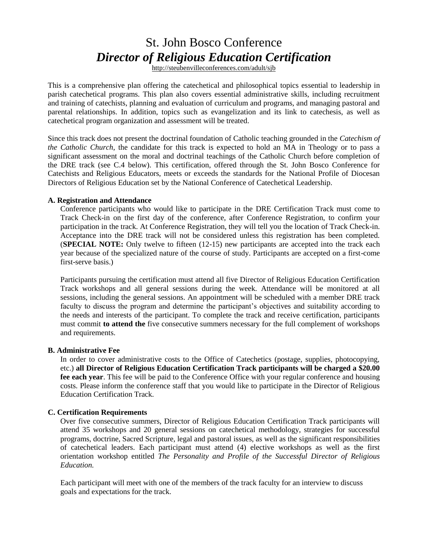# St. John Bosco Conference *Director of Religious Education Certification*

http://steubenvilleconferences.com/adult/sjb

This is a comprehensive plan offering the catechetical and philosophical topics essential to leadership in parish catechetical programs. This plan also covers essential administrative skills, including recruitment and training of catechists, planning and evaluation of curriculum and programs, and managing pastoral and parental relationships. In addition, topics such as evangelization and its link to catechesis, as well as catechetical program organization and assessment will be treated.

Since this track does not present the doctrinal foundation of Catholic teaching grounded in the *Catechism of the Catholic Church*, the candidate for this track is expected to hold an MA in Theology or to pass a significant assessment on the moral and doctrinal teachings of the Catholic Church before completion of the DRE track (see C.4 below). This certification, offered through the St. John Bosco Conference for Catechists and Religious Educators, meets or exceeds the standards for the National Profile of Diocesan Directors of Religious Education set by the National Conference of Catechetical Leadership.

#### **A. Registration and Attendance**

Conference participants who would like to participate in the DRE Certification Track must come to Track Check-in on the first day of the conference, after Conference Registration, to confirm your participation in the track. At Conference Registration, they will tell you the location of Track Check-in. Acceptance into the DRE track will not be considered unless this registration has been completed. (**SPECIAL NOTE:** Only twelve to fifteen (12-15) new participants are accepted into the track each year because of the specialized nature of the course of study. Participants are accepted on a first-come first-serve basis.)

Participants pursuing the certification must attend all five Director of Religious Education Certification Track workshops and all general sessions during the week. Attendance will be monitored at all sessions, including the general sessions. An appointment will be scheduled with a member DRE track faculty to discuss the program and determine the participant's objectives and suitability according to the needs and interests of the participant. To complete the track and receive certification, participants must commit **to attend the** five consecutive summers necessary for the full complement of workshops and requirements.

#### **B. Administrative Fee**

In order to cover administrative costs to the Office of Catechetics (postage, supplies, photocopying, etc.) **all Director of Religious Education Certification Track participants will be charged a \$20.00 fee each year**. This fee will be paid to the Conference Office with your regular conference and housing costs. Please inform the conference staff that you would like to participate in the Director of Religious Education Certification Track.

#### **C. Certification Requirements**

Over five consecutive summers, Director of Religious Education Certification Track participants will attend 35 workshops and 20 general sessions on catechetical methodology, strategies for successful programs, doctrine, Sacred Scripture, legal and pastoral issues, as well as the significant responsibilities of catechetical leaders. Each participant must attend (4) elective workshops as well as the first orientation workshop entitled *The Personality and Profile of the Successful Director of Religious Education.* 

Each participant will meet with one of the members of the track faculty for an interview to discuss goals and expectations for the track.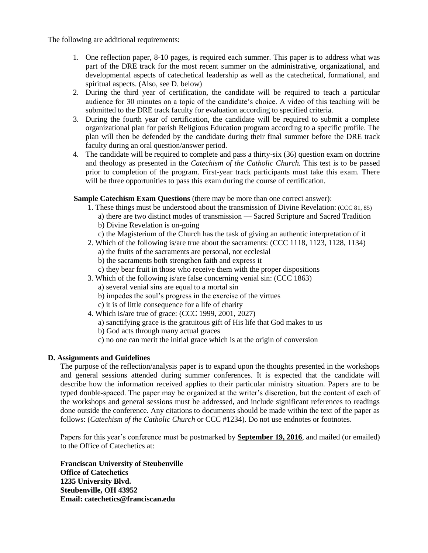The following are additional requirements:

- 1. One reflection paper, 8-10 pages, is required each summer. This paper is to address what was part of the DRE track for the most recent summer on the administrative, organizational, and developmental aspects of catechetical leadership as well as the catechetical, formational, and spiritual aspects. (Also, see D. below)
- 2. During the third year of certification, the candidate will be required to teach a particular audience for 30 minutes on a topic of the candidate's choice. A video of this teaching will be submitted to the DRE track faculty for evaluation according to specified criteria.
- 3. During the fourth year of certification, the candidate will be required to submit a complete organizational plan for parish Religious Education program according to a specific profile. The plan will then be defended by the candidate during their final summer before the DRE track faculty during an oral question/answer period.
- 4. The candidate will be required to complete and pass a thirty-six (36) question exam on doctrine and theology as presented in the *Catechism of the Catholic Church.* This test is to be passed prior to completion of the program. First-year track participants must take this exam. There will be three opportunities to pass this exam during the course of certification.

**Sample Catechism Exam Questions** (there may be more than one correct answer):

- 1. These things must be understood about the transmission of Divine Revelation: (CCC 81, 85)
	- a) there are two distinct modes of transmission Sacred Scripture and Sacred Tradition b) Divine Revelation is on-going
	- c) the Magisterium of the Church has the task of giving an authentic interpretation of it
- 2. Which of the following is/are true about the sacraments: (CCC 1118, 1123, 1128, 1134)
	- a) the fruits of the sacraments are personal, not ecclesial
	- b) the sacraments both strengthen faith and express it
	- c) they bear fruit in those who receive them with the proper dispositions
- 3. Which of the following is/are false concerning venial sin: (CCC 1863)
	- a) several venial sins are equal to a mortal sin
	- b) impedes the soul's progress in the exercise of the virtues
	- c) it is of little consequence for a life of charity
- 4. Which is/are true of grace: (CCC 1999, 2001, 2027)
	- a) sanctifying grace is the gratuitous gift of His life that God makes to us
	- b) God acts through many actual graces
	- c) no one can merit the initial grace which is at the origin of conversion

#### **D. Assignments and Guidelines**

The purpose of the reflection/analysis paper is to expand upon the thoughts presented in the workshops and general sessions attended during summer conferences. It is expected that the candidate will describe how the information received applies to their particular ministry situation. Papers are to be typed double-spaced. The paper may be organized at the writer's discretion, but the content of each of the workshops and general sessions must be addressed, and include significant references to readings done outside the conference. Any citations to documents should be made within the text of the paper as follows: (*Catechism of the Catholic Church* or CCC #1234). Do not use endnotes or footnotes.

Papers for this year's conference must be postmarked by **September 19, 2016**, and mailed (or emailed) to the Office of Catechetics at:

**Franciscan University of Steubenville Office of Catechetics 1235 University Blvd. Steubenville, OH 43952 Email: catechetics@franciscan.edu**